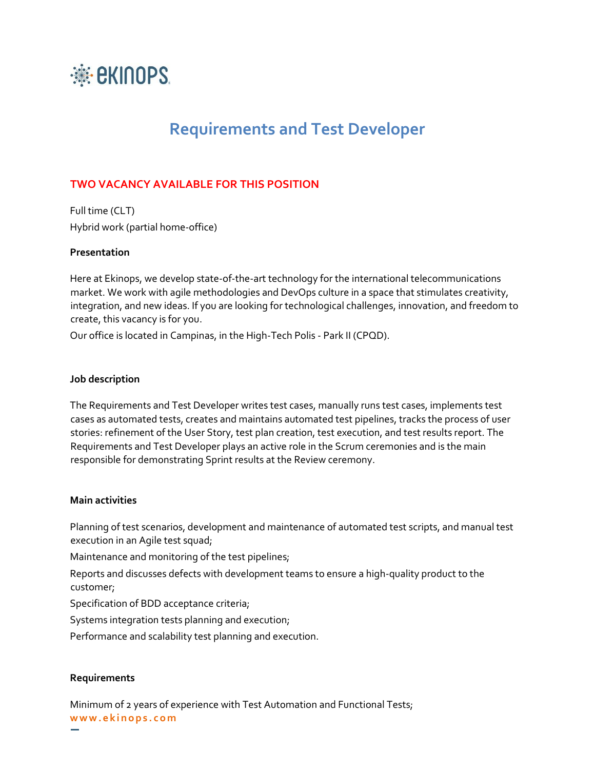

# **Requirements and Test Developer**

## **TWO VACANCY AVAILABLE FOR THIS POSITION**

Full time (CLT) Hybrid work (partial home-office)

#### **Presentation**

Here at Ekinops, we develop state-of-the-art technology for the international telecommunications market. We work with agile methodologies and DevOps culture in a space that stimulates creativity, integration, and new ideas. If you are looking for technological challenges, innovation, and freedom to create, this vacancy is for you.

Our office is located in Campinas, in the High-Tech Polis - Park II (CPQD).

### **Job description**

The Requirements and Test Developer writes test cases, manually runs test cases, implements test cases as automated tests, creates and maintains automated test pipelines, tracks the process of user stories: refinement of the User Story, test plan creation, test execution, and test results report. The Requirements and Test Developer plays an active role in the Scrum ceremonies and is the main responsible for demonstrating Sprint results at the Review ceremony.

#### **Main activities**

Planning of test scenarios, development and maintenance of automated test scripts, and manual test execution in an Agile test squad;

Maintenance and monitoring of the test pipelines;

Reports and discusses defects with development teams to ensure a high-quality product to the customer;

Specification of BDD acceptance criteria;

Systems integration tests planning and execution;

Performance and scalability test planning and execution.

#### **Requirements**

**w w w . e k i n o p s . c o m** Minimum of 2 years of experience with Test Automation and Functional Tests;